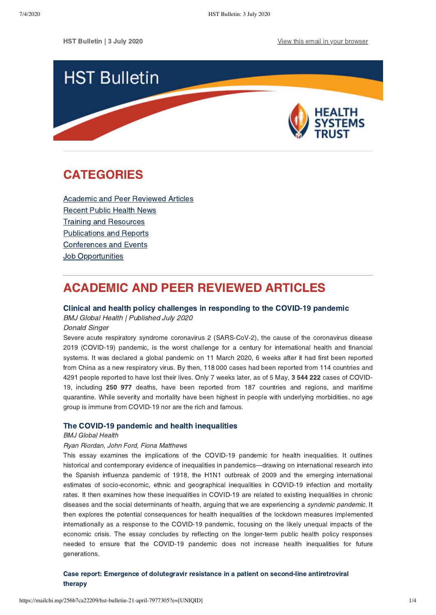

# <span id="page-0-1"></span>CATEGORIES

[Academic and Peer Reviewed Articles](#page-0-0) [Recent Public Health News](#page-1-0) Training and Resources [Publications and Reports](#page-2-0) [Conferences and Events](#page-2-1) **Job Opportunities** 

# <span id="page-0-0"></span>ACADEMIC AND PEER REVIEWED ARTICLES

### [Clinical and health policy challenges in responding to the COVID-19 pandemic](https://pmj.bmj.com/content/96/1137/373.full)

BMJ Global Health | Published July 2020

Donald Singer

Severe acute respiratory syndrome coronavirus 2 (SARS-CoV-2), the cause of the coronavirus disease 2019 (COVID-19) pandemic, is the worst challenge for a century for international health and financial systems. It was declared a global pandemic on 11 March 2020, 6 weeks after it had first been reported from China as a new respiratory virus. By then, 118 000 cases had been reported from 114 countries and 4291 people reported to have lost their lives. Only 7 weeks later, as of 5 May, 3 544 222 cases of COVID-19, including 250 977 deaths, have been reported from 187 countries and regions, and maritime quarantine. While severity and mortality have been highest in people with underlying morbidities, no age group is immune from COVID-19 nor are the rich and famous.

### [The COVID-19 pandemic and health inequalities](https://jech.bmj.com/content/early/2020/06/13/jech-2020-214401.full)

#### BMJ Global Health

### Ryan Riordan, John Ford, Fiona Matthews

This essay examines the implications of the COVID-19 pandemic for health inequalities. It outlines historical and contemporary evidence of inequalities in pandemics—drawing on international research into the Spanish influenza pandemic of 1918, the H1N1 outbreak of 2009 and the emerging international estimates of socio-economic, ethnic and geographical inequalities in COVID-19 infection and mortality rates. It then examines how these inequalities in COVID-19 are related to existing inequalities in chronic diseases and the social determinants of health, arguing that we are experiencing a syndemic pandemic. It then explores the potential consequences for health inequalities of the lockdown measures implemented internationally as a response to the COVID-19 pandemic, focusing on the likely unequal impacts of the economic crisis. The essay concludes by reflecting on the longer-term public health policy responses needed to ensure that the COVID-19 pandemic does not increase health inequalities for future generations.

### [Case report: Emergence of dolutegravir resistance in a patient on second-line antiretroviral](https://sajhivmed.org.za/index.php/hivmed/article/view/1062) therapy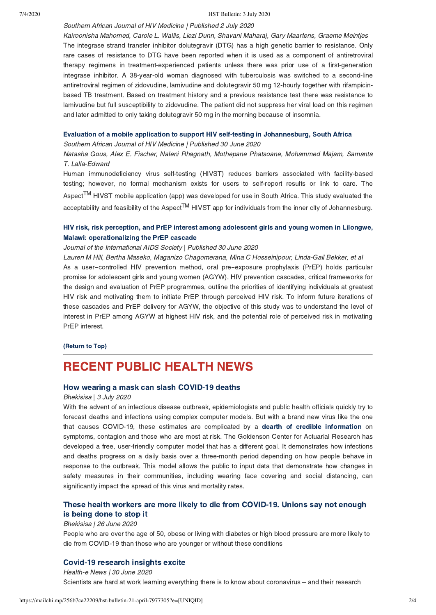#### 7/4/2020 HST Bulletin: 3 July 2020

Southern African Journal of HIV Medicine | Published 2 July 2020

Kairoonisha Mahomed, Carole L. Wallis, Liezl Dunn, Shavani Maharaj, Gary Maartens, Graeme Meintjes The integrase strand transfer inhibitor dolutegravir (DTG) has a high genetic barrier to resistance. Only rare cases of resistance to DTG have been reported when it is used as a component of antiretroviral therapy regimens in treatment-experienced patients unless there was prior use of a first-generation integrase inhibitor. A 38-year-old woman diagnosed with tuberculosis was switched to a second-line antiretroviral regimen of zidovudine, lamivudine and dolutegravir 50 mg 12-hourly together with rifampicinbased TB treatment. Based on treatment history and a previous resistance test there was resistance to lamivudine but full susceptibility to zidovudine. The patient did not suppress her viral load on this regimen and later admitted to only taking dolutegravir 50 mg in the morning because of insomnia.

#### [Evaluation of a mobile application to support HIV self-testing in Johannesburg, South Africa](https://sajhivmed.org.za/index.php/hivmed/article/view/1088)

Southern African Journal of HIV Medicine | Published 30 June 2020

Natasha Gous, Alex E. Fischer, Naleni Rhagnath, Mothepane Phatsoane, Mohammed Majam, Samanta T. Lalla-Edward

Human immunodeficiency virus self-testing (HIVST) reduces barriers associated with facility-based testing; however, no formal mechanism exists for users to self-report results or link to care. The Aspect<sup>TM</sup> HIVST mobile application (app) was developed for use in South Africa. This study evaluated the acceptability and feasibility of the Aspect<sup>TM</sup> HIVST app for individuals from the inner city of Johannesburg.

## [HIV risk, risk perception, and PrEP interest among adolescent girls and young women in Lilongwe,](https://onlinelibrary.wiley.com/doi/full/10.1002/jia2.25502) Malawi: operationalizing the PrEP cascade

#### Journal of the International AIDS Society | Published 30 June 2020

Lauren M Hill, Bertha Maseko, Maganizo Chagomerana, Mina C Hosseinipour, Linda-Gail Bekker, et al As a user-controlled HIV prevention method, oral pre-exposure prophylaxis (PrEP) holds particular promise for adolescent girls and young women (AGYW). HIV prevention cascades, critical frameworks for the design and evaluation of PrEP programmes, outline the priorities of identifying individuals at greatest HIV risk and motivating them to initiate PrEP through perceived HIV risk. To inform future iterations of these cascades and PrEP delivery for AGYW, the objective of this study was to understand the level of interest in PrEP among AGYW at highest HIV risk, and the potential role of perceived risk in motivating PrEP interest.

[\(Return to Top\)](#page-0-1)

## <span id="page-1-0"></span>RECENT PUBLIC HEALTH NEWS

#### [How wearing a mask can slash COVID-19 deaths](https://bhekisisa.org/opinion/2020-07-03-how-wearing-a-mask-can-slash-covid19-deaths/)

#### Bhekisisa | 3 July 2020

With the advent of an infectious disease outbreak, epidemiologists and public health officials quickly try to forecast deaths and infections using complex computer models. But with a brand new virus like the one that causes COVID-19, these estimates are complicated by a [dearth of credible information](https://theconversation.com/lack-of-data-makes-predicting-covid-19s-spread-difficult-but-models-are-still-vital-135797) on symptoms, contagion and those who are most at risk. The Goldenson Center for Actuarial Research has developed a free, user-friendly computer model that has a different goal. It demonstrates how infections and deaths progress on a daily basis over a three-month period depending on how people behave in response to the outbreak. This model allows the public to input data that demonstrate how changes in safety measures in their communities, including wearing face covering and social distancing, can significantly impact the spread of this virus and mortality rates.

## [These health workers are more likely to die from COVID-19. Unions say not enough](https://bhekisisa.org/health-news-south-africa/2020-06-26-these-health-workers-are-more-likely-to-die-from-covid-19-unions-say-not-enough-is-being-done-to-stop-it/) is being done to stop it

#### Bhekisisa | 26 June 2020

People who are over the age of 50, obese or living with diabetes or high blood pressure are more likely to die from COVID-19 than those who are younger or without these conditions

## [Covid-19 research insights excite](https://health-e.org.za/2020/06/30/covid-19-research-insights-excite/)

Health-e News | 30 June 2020 Scientists are hard at work learning everything there is to know about coronavirus – and their research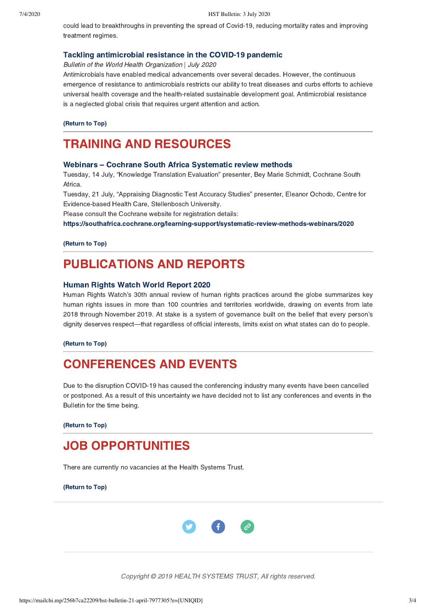could lead to breakthroughs in preventing the spread of Covid-19, reducing mortality rates and improving treatment regimes.

#### [Tackling antimicrobial resistance in the COVID-19 pandemic](https://www.who.int/bulletin/volumes/98/7/20-268573.pdf)

Bulletin of the World Health Organization | July 2020

Antimicrobials have enabled medical advancements over several decades. However, the continuous emergence of resistance to antimicrobials restricts our ability to treat diseases and curbs efforts to achieve universal health coverage and the health-related sustainable development goal. Antimicrobial resistance is a neglected global crisis that requires urgent attention and action.

[\(Return to Top\)](#page-0-1)

## <span id="page-2-0"></span>TRAINING AND RESOURCES

### [Webinars – Cochrane South Africa Systematic review methods](https://southafrica.cochrane.org/learning-support/systematic-review-methods-webinars/2020)

Tuesday, 14 July, "Knowledge Translation Evaluation" presenter, Bey Marie Schmidt, Cochrane South Africa.

Tuesday, 21 July, "Appraising Diagnostic Test Accuracy Studies" presenter, Eleanor Ochodo, Centre for Evidence-based Health Care, Stellenbosch University.

Please consult the Cochrane website for registration details:

<https://southafrica.cochrane.org/learning-support/systematic-review-methods-webinars/2020>

[\(Return to Top\)](#page-0-1)

## PUBLICATIONS AND REPORTS

#### [Human Rights Watch World Report 2020](https://www.hrw.org/sites/default/files/world_report_download/hrw_world_report_2020_0.pdf)

Human Rights Watch's 30th annual review of human rights practices around the globe summarizes key human rights issues in more than 100 countries and territories worldwide, drawing on events from late 2018 through November 2019. At stake is a system of governance built on the belief that every person's dignity deserves respect—that regardless of official interests, limits exist on what states can do to people.

[\(Return to Top\)](#page-0-1)

## <span id="page-2-1"></span>CONFERENCES AND EVENTS

Due to the disruption COVID-19 has caused the conferencing industry many events have been cancelled or postponed. As a result of this uncertainty we have decided not to list any conferences and events in the Bulletin for the time being.

[\(Return to Top\)](#page-0-1)

## JOB OPPORTUNITIES

There are currently no vacancies at the Health Systems Trust.

[\(Return to Top\)](#page-0-1)



Copyright © 2019 HEALTH SYSTEMS TRUST, All rights reserved.